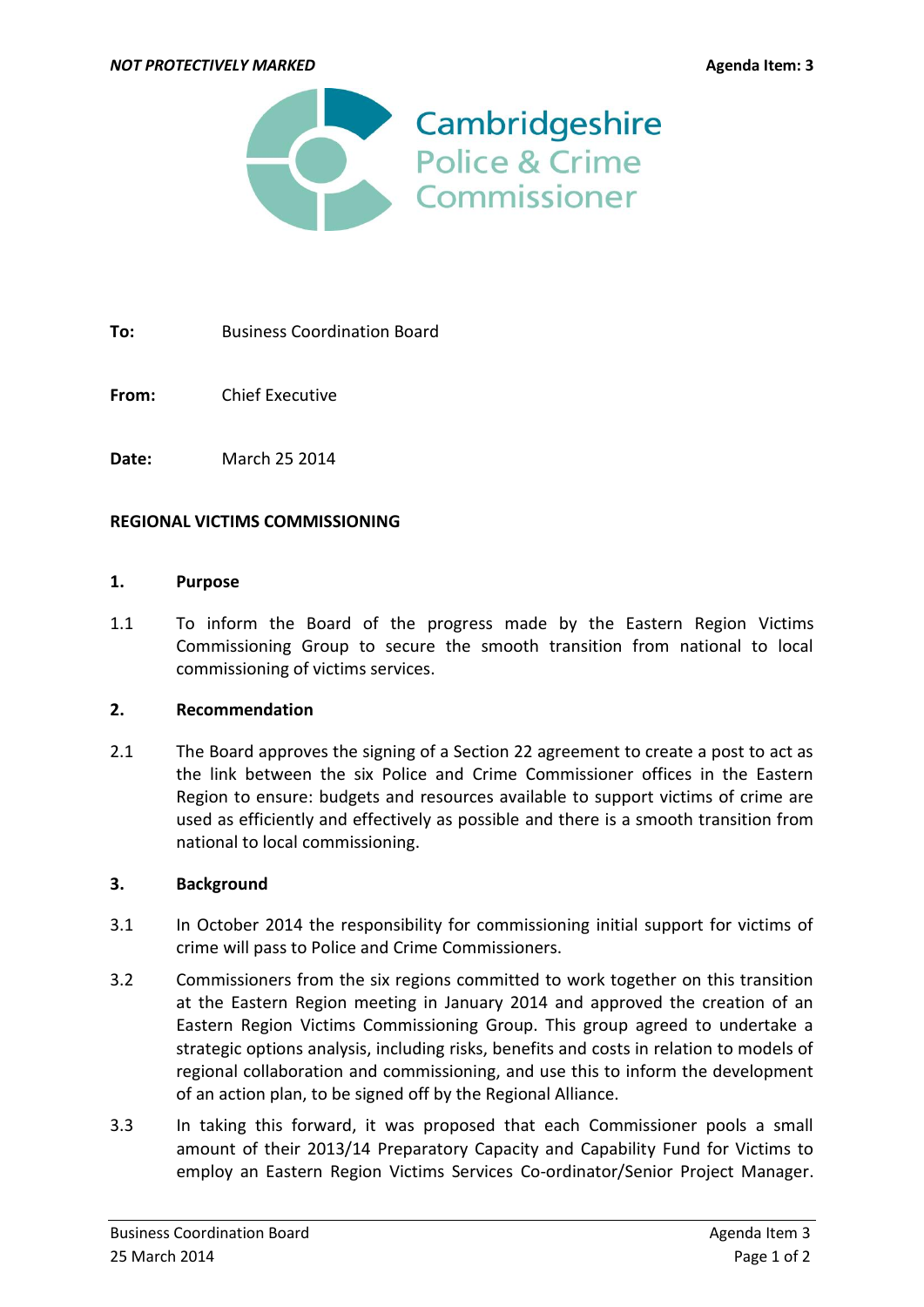

**To:** Business Coordination Board

**From:** Chief Executive

**Date:** March 25 2014

### **REGIONAL VICTIMS COMMISSIONING**

#### **1. Purpose**

1.1 To inform the Board of the progress made by the Eastern Region Victims Commissioning Group to secure the smooth transition from national to local commissioning of victims services.

### **2. Recommendation**

2.1 The Board approves the signing of a Section 22 agreement to create a post to act as the link between the six Police and Crime Commissioner offices in the Eastern Region to ensure: budgets and resources available to support victims of crime are used as efficiently and effectively as possible and there is a smooth transition from national to local commissioning.

### **3. Background**

- 3.1 In October 2014 the responsibility for commissioning initial support for victims of crime will pass to Police and Crime Commissioners.
- 3.2 Commissioners from the six regions committed to work together on this transition at the Eastern Region meeting in January 2014 and approved the creation of an Eastern Region Victims Commissioning Group. This group agreed to undertake a strategic options analysis, including risks, benefits and costs in relation to models of regional collaboration and commissioning, and use this to inform the development of an action plan, to be signed off by the Regional Alliance.
- 3.3 In taking this forward, it was proposed that each Commissioner pools a small amount of their 2013/14 Preparatory Capacity and Capability Fund for Victims to employ an Eastern Region Victims Services Co-ordinator/Senior Project Manager.